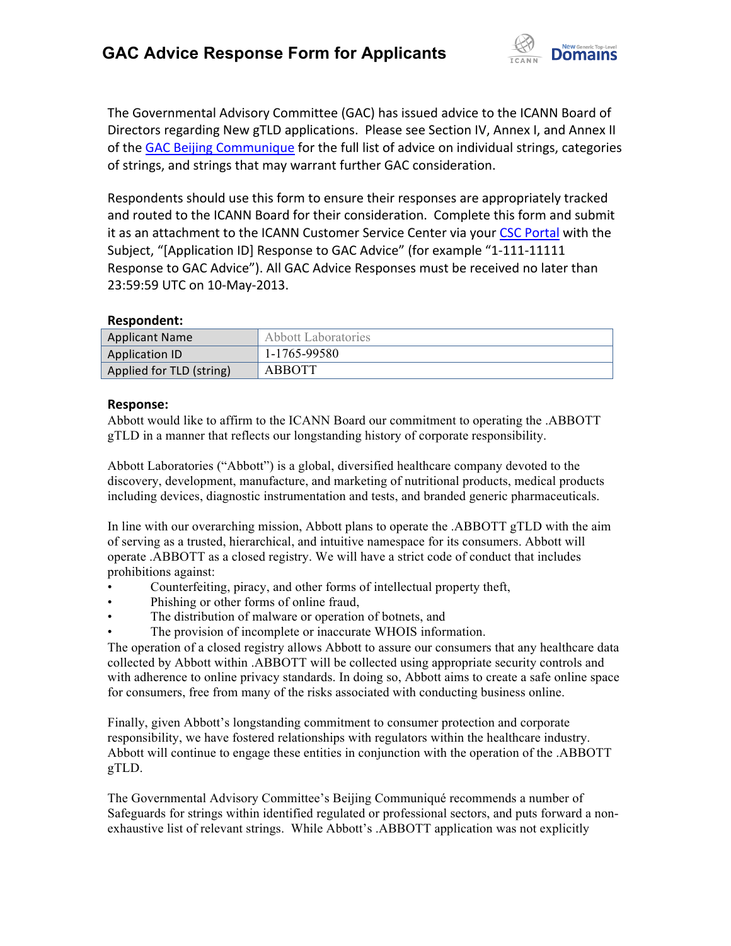

The Governmental Advisory Committee (GAC) has issued advice to the ICANN Board of Directors regarding New gTLD applications. Please see Section IV, Annex I, and Annex II of the GAC Beijing Communique for the full list of advice on individual strings, categories of strings, and strings that may warrant further GAC consideration.

Respondents should use this form to ensure their responses are appropriately tracked and routed to the ICANN Board for their consideration. Complete this form and submit it as an attachment to the ICANN Customer Service Center via your CSC Portal with the Subject, "[Application ID] Response to GAC Advice" (for example "1-111-11111 Response to GAC Advice"). All GAC Advice Responses must be received no later than 23:59:59 UTC on 10-May-2013.

## **Respondent:**

| Applicant Name           | Abbott Laboratories |
|--------------------------|---------------------|
| Application ID           | 1-1765-99580        |
| Applied for TLD (string) | ABBOTT              |

## **Response:**

Abbott would like to affirm to the ICANN Board our commitment to operating the .ABBOTT gTLD in a manner that reflects our longstanding history of corporate responsibility.

Abbott Laboratories ("Abbott") is a global, diversified healthcare company devoted to the discovery, development, manufacture, and marketing of nutritional products, medical products including devices, diagnostic instrumentation and tests, and branded generic pharmaceuticals.

In line with our overarching mission, Abbott plans to operate the .ABBOTT gTLD with the aim of serving as a trusted, hierarchical, and intuitive namespace for its consumers. Abbott will operate .ABBOTT as a closed registry. We will have a strict code of conduct that includes prohibitions against:

- Counterfeiting, piracy, and other forms of intellectual property theft,
- Phishing or other forms of online fraud,
- The distribution of malware or operation of botnets, and
- The provision of incomplete or inaccurate WHOIS information.

The operation of a closed registry allows Abbott to assure our consumers that any healthcare data collected by Abbott within .ABBOTT will be collected using appropriate security controls and with adherence to online privacy standards. In doing so, Abbott aims to create a safe online space for consumers, free from many of the risks associated with conducting business online.

Finally, given Abbott's longstanding commitment to consumer protection and corporate responsibility, we have fostered relationships with regulators within the healthcare industry. Abbott will continue to engage these entities in conjunction with the operation of the .ABBOTT gTLD.

The Governmental Advisory Committee's Beijing Communiqué recommends a number of Safeguards for strings within identified regulated or professional sectors, and puts forward a nonexhaustive list of relevant strings. While Abbott's .ABBOTT application was not explicitly